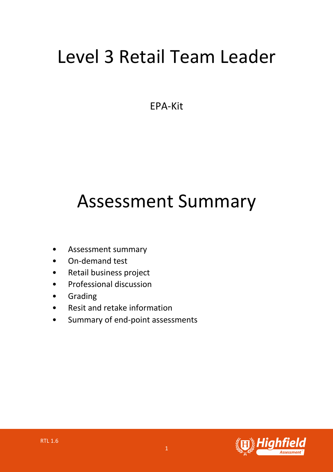# Level 3 Retail Team Leader

EPA-Kit

# Assessment Summary

- Assessment summary
- On-demand test
- Retail business project
- Professional discussion
- Grading
- Resit and retake information
- Summary of end-point assessments

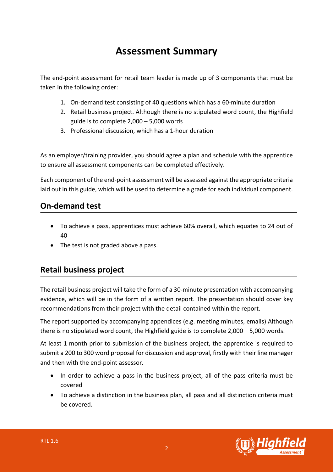## **Assessment Summary**

The end-point assessment for retail team leader is made up of 3 components that must be taken in the following order:

- 1. On-demand test consisting of 40 questions which has a 60-minute duration
- 2. Retail business project. Although there is no stipulated word count, the Highfield guide is to complete 2,000 – 5,000 words
- 3. Professional discussion, which has a 1-hour duration

As an employer/training provider, you should agree a plan and schedule with the apprentice to ensure all assessment components can be completed effectively.

Each component of the end-point assessment will be assessed against the appropriate criteria laid out in this guide, which will be used to determine a grade for each individual component.

#### **On-demand test**

- To achieve a pass, apprentices must achieve 60% overall, which equates to 24 out of 40
- The test is not graded above a pass.

#### **Retail business project**

The retail business project will take the form of a 30-minute presentation with accompanying evidence, which will be in the form of a written report. The presentation should cover key recommendations from their project with the detail contained within the report.

The report supported by accompanying appendices (e.g. meeting minutes, emails) Although there is no stipulated word count, the Highfield guide is to complete 2,000 – 5,000 words.

At least 1 month prior to submission of the business project, the apprentice is required to submit a 200 to 300 word proposal for discussion and approval, firstly with their line manager and then with the end-point assessor.

- In order to achieve a pass in the business project, all of the pass criteria must be covered
- To achieve a distinction in the business plan, all pass and all distinction criteria must be covered.

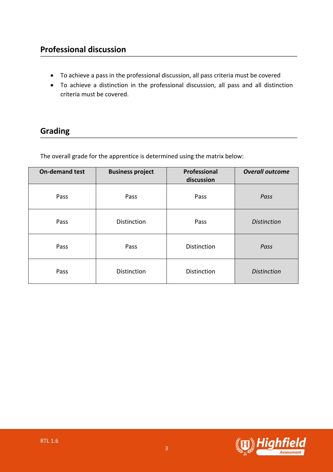### **Professional discussion**

- To achieve a pass in the professional discussion, all pass criteria must be covered
- To achieve a distinction in the professional discussion, all pass and all distinction criteria must be covered.

### **Grading**

The overall grade for the apprentice is determined using the matrix below:

| <b>On-demand test</b> | <b>Business project</b> | Professional<br>discussion | <b>Overall outcome</b> |
|-----------------------|-------------------------|----------------------------|------------------------|
| Pass                  | Pass                    | Pass                       | Pass                   |
| Pass                  | <b>Distinction</b>      | Pass                       | <b>Distinction</b>     |
| Pass                  | Pass                    | <b>Distinction</b>         | Pass                   |
| Pass                  | <b>Distinction</b>      | <b>Distinction</b>         | <b>Distinction</b>     |

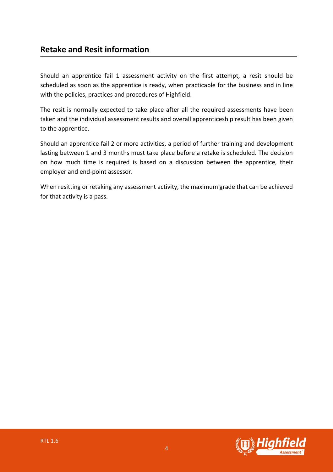#### **Retake and Resit information**

Should an apprentice fail 1 assessment activity on the first attempt, a resit should be scheduled as soon as the apprentice is ready, when practicable for the business and in line with the policies, practices and procedures of Highfield.

The resit is normally expected to take place after all the required assessments have been taken and the individual assessment results and overall apprenticeship result has been given to the apprentice.

Should an apprentice fail 2 or more activities, a period of further training and development lasting between 1 and 3 months must take place before a retake is scheduled. The decision on how much time is required is based on a discussion between the apprentice, their employer and end-point assessor.

When resitting or retaking any assessment activity, the maximum grade that can be achieved for that activity is a pass.